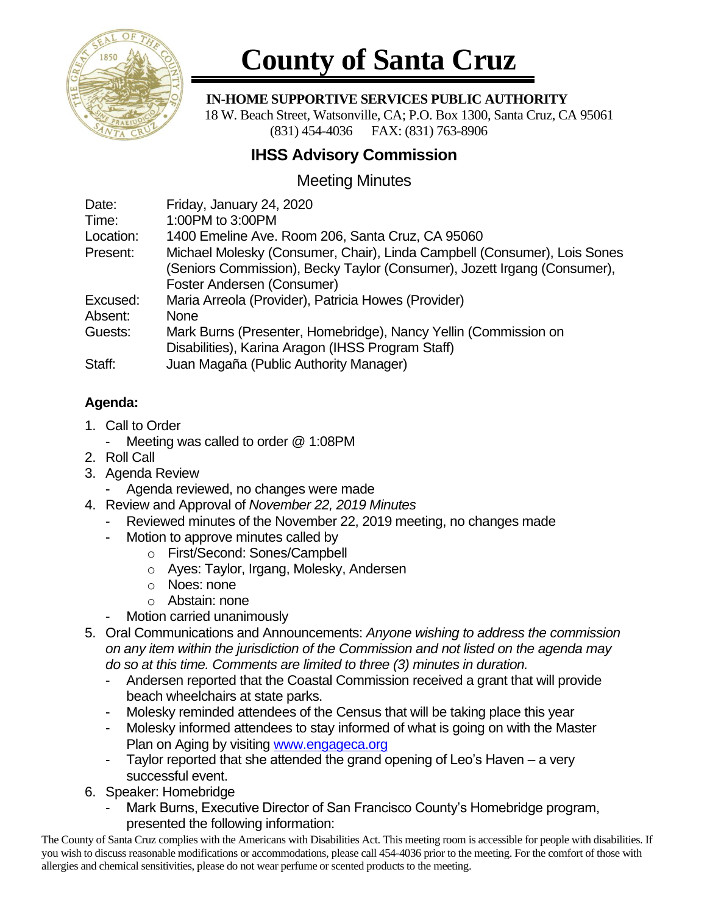

# **County of Santa Cruz**

### **IN-HOME SUPPORTIVE SERVICES PUBLIC AUTHORITY**

 18 W. Beach Street, Watsonville, CA; P.O. Box 1300, Santa Cruz, CA 95061 (831) 454-4036 FAX: (831) 763-8906

## **IHSS Advisory Commission**

## Meeting Minutes

| Date:     | Friday, January 24, 2020                                                 |
|-----------|--------------------------------------------------------------------------|
| Time:     | 1:00PM to 3:00PM                                                         |
| Location: | 1400 Emeline Ave. Room 206, Santa Cruz, CA 95060                         |
| Present:  | Michael Molesky (Consumer, Chair), Linda Campbell (Consumer), Lois Sones |
|           | (Seniors Commission), Becky Taylor (Consumer), Jozett Irgang (Consumer), |
|           | Foster Andersen (Consumer)                                               |
| Excused:  | Maria Arreola (Provider), Patricia Howes (Provider)                      |
| Absent:   | None                                                                     |
| Guests:   | Mark Burns (Presenter, Homebridge), Nancy Yellin (Commission on          |
|           | Disabilities), Karina Aragon (IHSS Program Staff)                        |
| Staff:    | Juan Magaña (Public Authority Manager)                                   |

## **Agenda:**

- 1. Call to Order
	- Meeting was called to order @ 1:08PM
- 2. Roll Call
- 3. Agenda Review
	- Agenda reviewed, no changes were made
- 4. Review and Approval of *November 22, 2019 Minutes*
	- Reviewed minutes of the November 22, 2019 meeting, no changes made
	- Motion to approve minutes called by
		- o First/Second: Sones/Campbell
		- o Ayes: Taylor, Irgang, Molesky, Andersen
		- o Noes: none
		- o Abstain: none
	- Motion carried unanimously
- 5. Oral Communications and Announcements: *Anyone wishing to address the commission on any item within the jurisdiction of the Commission and not listed on the agenda may do so at this time. Comments are limited to three (3) minutes in duration.*
	- Andersen reported that the Coastal Commission received a grant that will provide beach wheelchairs at state parks.
	- Molesky reminded attendees of the Census that will be taking place this year
	- Molesky informed attendees to stay informed of what is going on with the Master Plan on Aging by visiting [www.engageca.org](http://www.engageca.org/)
	- Taylor reported that she attended the grand opening of Leo's Haven  $-$  a very successful event.
- 6. Speaker: Homebridge
	- Mark Burns, Executive Director of San Francisco County's Homebridge program, presented the following information:

The County of Santa Cruz complies with the Americans with Disabilities Act. This meeting room is accessible for people with disabilities. If you wish to discuss reasonable modifications or accommodations, please call 454-4036 prior to the meeting. For the comfort of those with allergies and chemical sensitivities, please do not wear perfume or scented products to the meeting.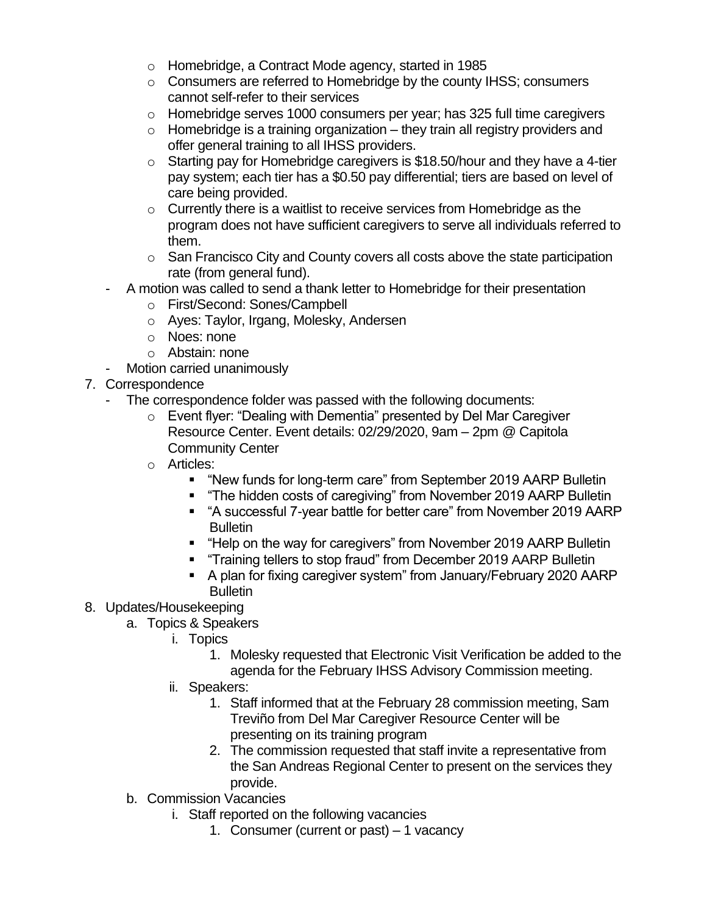- o Homebridge, a Contract Mode agency, started in 1985
- o Consumers are referred to Homebridge by the county IHSS; consumers cannot self-refer to their services
- o Homebridge serves 1000 consumers per year; has 325 full time caregivers
- $\circ$  Homebridge is a training organization they train all registry providers and offer general training to all IHSS providers.
- o Starting pay for Homebridge caregivers is \$18.50/hour and they have a 4-tier pay system; each tier has a \$0.50 pay differential; tiers are based on level of care being provided.
- o Currently there is a waitlist to receive services from Homebridge as the program does not have sufficient caregivers to serve all individuals referred to them.
- $\circ$  San Francisco City and County covers all costs above the state participation rate (from general fund).
- A motion was called to send a thank letter to Homebridge for their presentation
	- o First/Second: Sones/Campbell
	- o Ayes: Taylor, Irgang, Molesky, Andersen
	- o Noes: none
	- o Abstain: none
- Motion carried unanimously
- 7. Correspondence
	- The correspondence folder was passed with the following documents:
		- o Event flyer: "Dealing with Dementia" presented by Del Mar Caregiver Resource Center. Event details: 02/29/2020, 9am – 2pm @ Capitola Community Center
		- o Articles:
			- "New funds for long-term care" from September 2019 AARP Bulletin
			- "The hidden costs of caregiving" from November 2019 AARP Bulletin
			- "A successful 7-year battle for better care" from November 2019 AARP **Bulletin**
			- "Help on the way for caregivers" from November 2019 AARP Bulletin
			- "Training tellers to stop fraud" from December 2019 AARP Bulletin
			- A plan for fixing caregiver system" from January/February 2020 AARP **Bulletin**
- 8. Updates/Housekeeping
	- a. Topics & Speakers
		- i. Topics
			- 1. Molesky requested that Electronic Visit Verification be added to the agenda for the February IHSS Advisory Commission meeting.
		- ii. Speakers:
			- 1. Staff informed that at the February 28 commission meeting, Sam Treviño from Del Mar Caregiver Resource Center will be presenting on its training program
			- 2. The commission requested that staff invite a representative from the San Andreas Regional Center to present on the services they provide.
		- b. Commission Vacancies
			- i. Staff reported on the following vacancies
				- 1. Consumer (current or past) 1 vacancy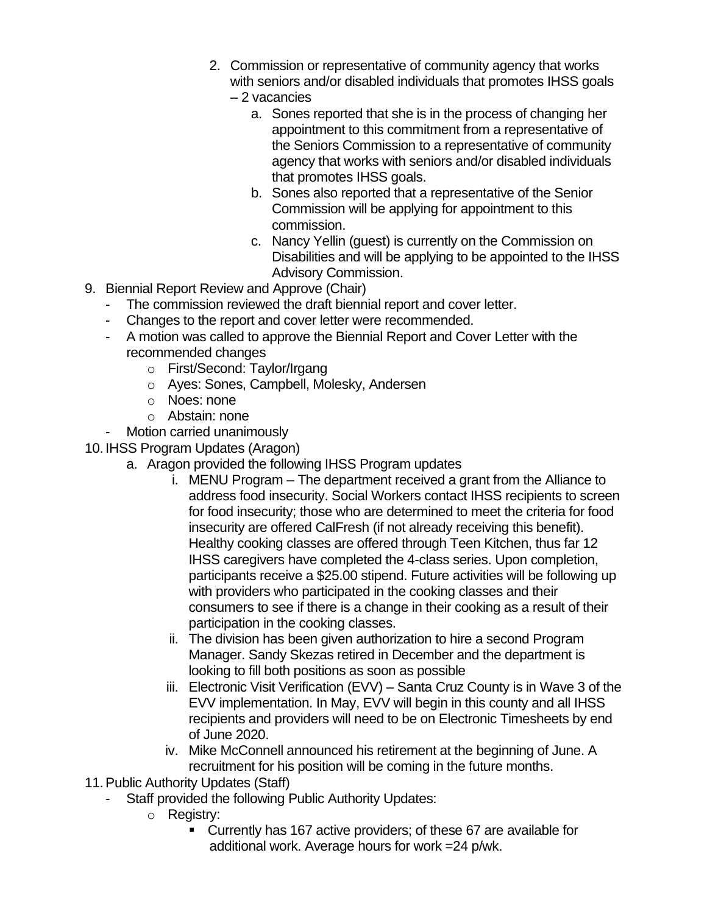- 2. Commission or representative of community agency that works with seniors and/or disabled individuals that promotes IHSS goals
	- 2 vacancies
		- a. Sones reported that she is in the process of changing her appointment to this commitment from a representative of the Seniors Commission to a representative of community agency that works with seniors and/or disabled individuals that promotes IHSS goals.
		- b. Sones also reported that a representative of the Senior Commission will be applying for appointment to this commission.
		- c. Nancy Yellin (guest) is currently on the Commission on Disabilities and will be applying to be appointed to the IHSS Advisory Commission.
- 9. Biennial Report Review and Approve (Chair)
	- The commission reviewed the draft biennial report and cover letter.
	- Changes to the report and cover letter were recommended.
	- A motion was called to approve the Biennial Report and Cover Letter with the recommended changes
		- o First/Second: Taylor/Irgang
		- o Ayes: Sones, Campbell, Molesky, Andersen
		- o Noes: none
		- o Abstain: none
	- Motion carried unanimously

10. IHSS Program Updates (Aragon)

- a. Aragon provided the following IHSS Program updates
	- i. MENU Program The department received a grant from the Alliance to address food insecurity. Social Workers contact IHSS recipients to screen for food insecurity; those who are determined to meet the criteria for food insecurity are offered CalFresh (if not already receiving this benefit). Healthy cooking classes are offered through Teen Kitchen, thus far 12 IHSS caregivers have completed the 4-class series. Upon completion, participants receive a \$25.00 stipend. Future activities will be following up with providers who participated in the cooking classes and their consumers to see if there is a change in their cooking as a result of their participation in the cooking classes.
	- ii. The division has been given authorization to hire a second Program Manager. Sandy Skezas retired in December and the department is looking to fill both positions as soon as possible
	- iii. Electronic Visit Verification (EVV) Santa Cruz County is in Wave 3 of the EVV implementation. In May, EVV will begin in this county and all IHSS recipients and providers will need to be on Electronic Timesheets by end of June 2020.
	- iv. Mike McConnell announced his retirement at the beginning of June. A recruitment for his position will be coming in the future months.
- 11.Public Authority Updates (Staff)
	- Staff provided the following Public Authority Updates:
		- o Registry:
			- Currently has 167 active providers; of these 67 are available for additional work. Average hours for work =24 p/wk.